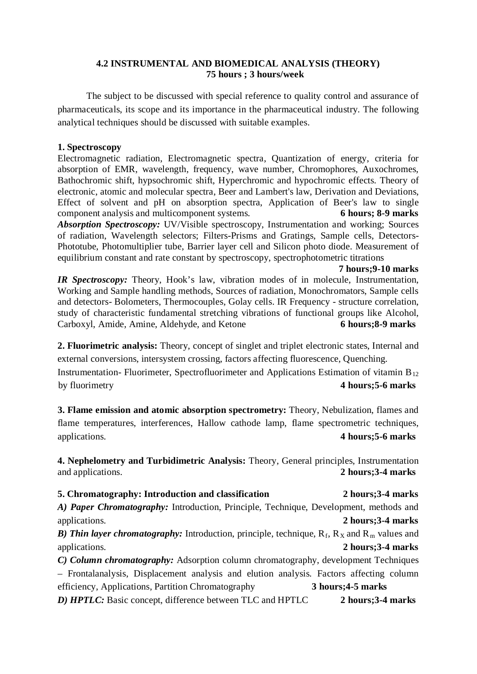## **4.2 INSTRUMENTAL AND BIOMEDICAL ANALYSIS (THEORY) 75 hours ; 3 hours/week**

The subject to be discussed with special reference to quality control and assurance of pharmaceuticals, its scope and its importance in the pharmaceutical industry. The following analytical techniques should be discussed with suitable examples.

## **1. Spectroscopy**

Electromagnetic radiation, Electromagnetic spectra, Quantization of energy, criteria for absorption of EMR, wavelength, frequency, wave number, Chromophores, Auxochromes, Bathochromic shift, hypsochromic shift, Hyperchromic and hypochromic effects. Theory of electronic, atomic and molecular spectra, Beer and Lambert's law, Derivation and Deviations, Effect of solvent and pH on absorption spectra, Application of Beer's law to single component analysis and multicomponent systems. **6 hours; 8-9 marks** *Absorption Spectroscopy: UV/Visible spectroscopy, Instrumentation and working; Sources* of radiation, Wavelength selectors; Filters-Prisms and Gratings, Sample cells, Detectors-Phototube, Photomultiplier tube, Barrier layer cell and Silicon photo diode. Measurement of equilibrium constant and rate constant by spectroscopy, spectrophotometric titrations

#### **7 hours;9-10 marks**

*IR Spectroscopy:* Theory, Hook's law, vibration modes of in molecule, Instrumentation, Working and Sample handling methods, Sources of radiation, Monochromators, Sample cells and detectors- Bolometers, Thermocouples, Golay cells. IR Frequency - structure correlation, study of characteristic fundamental stretching vibrations of functional groups like Alcohol, Carboxyl, Amide, Amine, Aldehyde, and Ketone **6 hours;8-9 marks**

**2. Fluorimetric analysis:** Theory, concept of singlet and triplet electronic states, Internal and external conversions, intersystem crossing, factors affecting fluorescence, Quenching. Instrumentation- Fluorimeter, Spectrofluorimeter and Applications Estimation of vitamin  $B_{12}$ 

by fluorimetry **4 hours;5-6 marks**

**3. Flame emission and atomic absorption spectrometry:** Theory, Nebulization, flames and flame temperatures, interferences, Hallow cathode lamp, flame spectrometric techniques, applications. **4 hours;5-6 marks**

**4. Nephelometry and Turbidimetric Analysis:** Theory, General principles, Instrumentation and applications. **2 hours;3-4 marks**

# **5. Chromatography: Introduction and classification 2 hours;3-4 marks** *A) Paper Chromatography:* Introduction, Principle, Technique, Development, methods and applications. **2 hours;3-4 marks B)** Thin layer chromatography: Introduction, principle, technique,  $R_f$ ,  $R_X$  and  $R_m$  values and *C) Column chromatography:* Adsorption column chromatography, development Techniques – Frontalanalysis, Displacement analysis and elution analysis. Factors affecting column efficiency, Applications, Partition Chromatography **3 hours;4-5 marks** applications. **2 hours;3-4 marks** *D) HPTLC:* Basic concept, difference between TLC and HPTLC **2 hours;3-4 marks**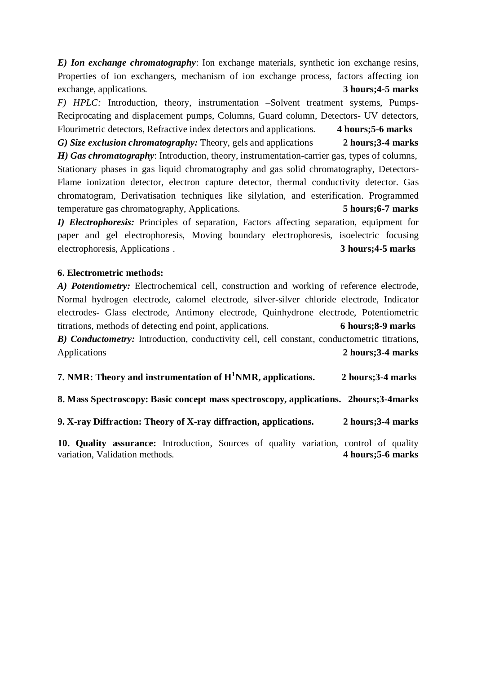*E) Ion exchange chromatography*: Ion exchange materials, synthetic ion exchange resins, Properties of ion exchangers, mechanism of ion exchange process, factors affecting ion exchange, applications. **3 hours;4-5 marks**

*F) HPLC:* Introduction, theory, instrumentation –Solvent treatment systems, Pumps-Reciprocating and displacement pumps, Columns, Guard column, Detectors- UV detectors, Flourimetric detectors, Refractive index detectors and applications. **4 hours;5-6 marks** *G) Size exclusion chromatography:* Theory, gels and applications **2 hours;3-4 marks**

*H) Gas chromatography*: Introduction, theory, instrumentation-carrier gas, types of columns, Stationary phases in gas liquid chromatography and gas solid chromatography, Detectors-Flame ionization detector, electron capture detector, thermal conductivity detector. Gas chromatogram, Derivatisation techniques like silylation, and esterification. Programmed temperature gas chromatography, Applications. **5 hours;6-7 marks** *I) Electrophoresis:* Principles of separation, Factors affecting separation, equipment for

paper and gel electrophoresis, Moving boundary electrophoresis, isoelectric focusing electrophoresis, Applications . **3 hours;4-5 marks**

#### **6. Electrometric methods:**

*A) Potentiometry:* Electrochemical cell, construction and working of reference electrode, Normal hydrogen electrode, calomel electrode, silver-silver chloride electrode, Indicator electrodes- Glass electrode, Antimony electrode, Quinhydrone electrode, Potentiometric titrations, methods of detecting end point, applications. **6 hours;8-9 marks** *B) Conductometry:* Introduction, conductivity cell, cell constant, conductometric titrations, Applications **2 hours;3-4 marks**

| 7. NMR: Theory and instrumentation of $H^1NMR$ , applications.                        | 2 hours; 3-4 marks |
|---------------------------------------------------------------------------------------|--------------------|
| 8. Mass Spectroscopy: Basic concept mass spectroscopy, applications. 2hours: 3-4marks |                    |
| 9. X-ray Diffraction: Theory of X-ray diffraction, applications.                      | 2 hours; 3-4 marks |

**10. Quality assurance:** Introduction, Sources of quality variation, control of quality variation, Validation methods. **4 hours;5-6 marks**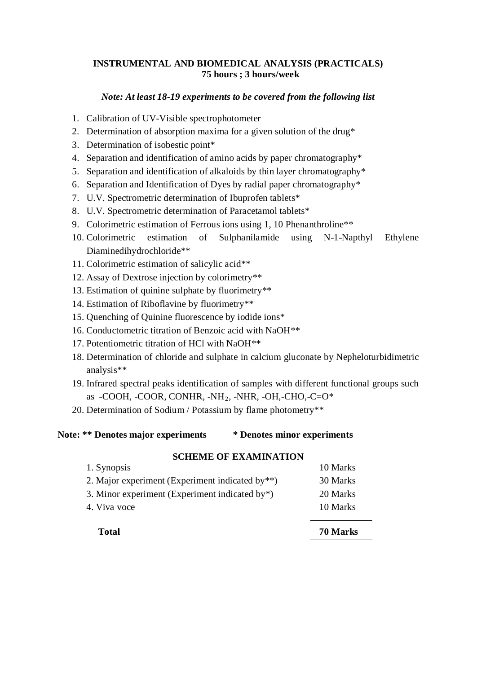### **INSTRUMENTAL AND BIOMEDICAL ANALYSIS (PRACTICALS) 75 hours ; 3 hours/week**

#### *Note: At least 18-19 experiments to be covered from the following list*

- 1. Calibration of UV-Visible spectrophotometer
- 2. Determination of absorption maxima for a given solution of the drug\*
- 3. Determination of isobestic point\*
- 4. Separation and identification of amino acids by paper chromatography\*
- 5. Separation and identification of alkaloids by thin layer chromatography\*
- 6. Separation and Identification of Dyes by radial paper chromatography\*
- 7. U.V. Spectrometric determination of Ibuprofen tablets\*
- 8. U.V. Spectrometric determination of Paracetamol tablets\*
- 9. Colorimetric estimation of Ferrous ions using 1, 10 Phenanthroline\*\*
- 10. Colorimetric estimation of Sulphanilamide using N-1-Napthyl Ethylene Diaminedihydrochloride\*\*
- 11. Colorimetric estimation of salicylic acid\*\*
- 12. Assay of Dextrose injection by colorimetry\*\*
- 13. Estimation of quinine sulphate by fluorimetry\*\*
- 14. Estimation of Riboflavine by fluorimetry\*\*
- 15. Quenching of Quinine fluorescence by iodide ions\*
- 16. Conductometric titration of Benzoic acid with NaOH\*\*
- 17. Potentiometric titration of HCl with NaOH\*\*
- 18. Determination of chloride and sulphate in calcium gluconate by Nepheloturbidimetric analysis\*\*
- 19. Infrared spectral peaks identification of samples with different functional groups such as -COOH, -COOR, CONHR, -NH2 , -NHR, -OH,-CHO,-C=O\*
- 20. Determination of Sodium / Potassium by flame photometry\*\*

## **Note: \*\* Denotes major experiments \* Denotes minor experiments**

| <b>Total</b>                                       | 70 Marks |
|----------------------------------------------------|----------|
| 4. Viva voce                                       | 10 Marks |
| 3. Minor experiment (Experiment indicated by $*$ ) | 20 Marks |
| 2. Major experiment (Experiment indicated by**)    | 30 Marks |
| 1. Synopsis                                        | 10 Marks |

#### **SCHEME OF EXAMINATION**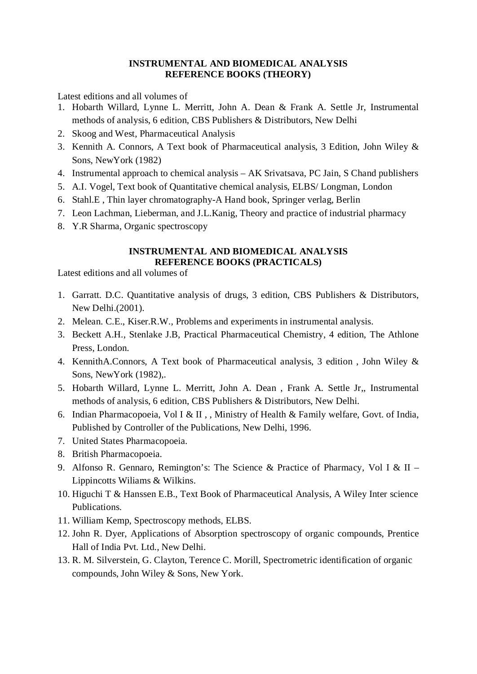### **INSTRUMENTAL AND BIOMEDICAL ANALYSIS REFERENCE BOOKS (THEORY)**

Latest editions and all volumes of

- 1. Hobarth Willard, Lynne L. Merritt, John A. Dean & Frank A. Settle Jr, Instrumental methods of analysis, 6 edition, CBS Publishers & Distributors, New Delhi
- 2. Skoog and West, Pharmaceutical Analysis
- 3. Kennith A. Connors, A Text book of Pharmaceutical analysis, 3 Edition, John Wiley & Sons, NewYork (1982)
- 4. Instrumental approach to chemical analysis AK Srivatsava, PC Jain, S Chand publishers
- 5. A.I. Vogel, Text book of Quantitative chemical analysis, ELBS/ Longman, London
- 6. Stahl.E , Thin layer chromatography-A Hand book, Springer verlag, Berlin
- 7. Leon Lachman, Lieberman, and J.L.Kanig, Theory and practice of industrial pharmacy
- 8. Y.R Sharma, Organic spectroscopy

### **INSTRUMENTAL AND BIOMEDICAL ANALYSIS REFERENCE BOOKS (PRACTICALS)**

Latest editions and all volumes of

- 1. Garratt. D.C. Quantitative analysis of drugs, 3 edition, CBS Publishers & Distributors, New Delhi.(2001).
- 2. Melean. C.E., Kiser.R.W., Problems and experiments in instrumental analysis.
- 3. Beckett A.H., Stenlake J.B, Practical Pharmaceutical Chemistry, 4 edition, The Athlone Press, London.
- 4. KennithA.Connors, A Text book of Pharmaceutical analysis, 3 edition , John Wiley & Sons, NewYork (1982),.
- 5. Hobarth Willard, Lynne L. Merritt, John A. Dean , Frank A. Settle Jr,, Instrumental methods of analysis, 6 edition, CBS Publishers & Distributors, New Delhi.
- 6. Indian Pharmacopoeia, Vol I & II , , Ministry of Health & Family welfare, Govt. of India, Published by Controller of the Publications, New Delhi, 1996.
- 7. United States Pharmacopoeia.
- 8. British Pharmacopoeia.
- 9. Alfonso R. Gennaro, Remington's: The Science & Practice of Pharmacy, Vol I & II Lippincotts Wiliams & Wilkins.
- 10. Higuchi T & Hanssen E.B., Text Book of Pharmaceutical Analysis, A Wiley Inter science Publications.
- 11. William Kemp, Spectroscopy methods, ELBS.
- 12. John R. Dyer, Applications of Absorption spectroscopy of organic compounds, Prentice Hall of India Pvt. Ltd., New Delhi.
- 13. R. M. Silverstein, G. Clayton, Terence C. Morill, Spectrometric identification of organic compounds, John Wiley & Sons, New York.